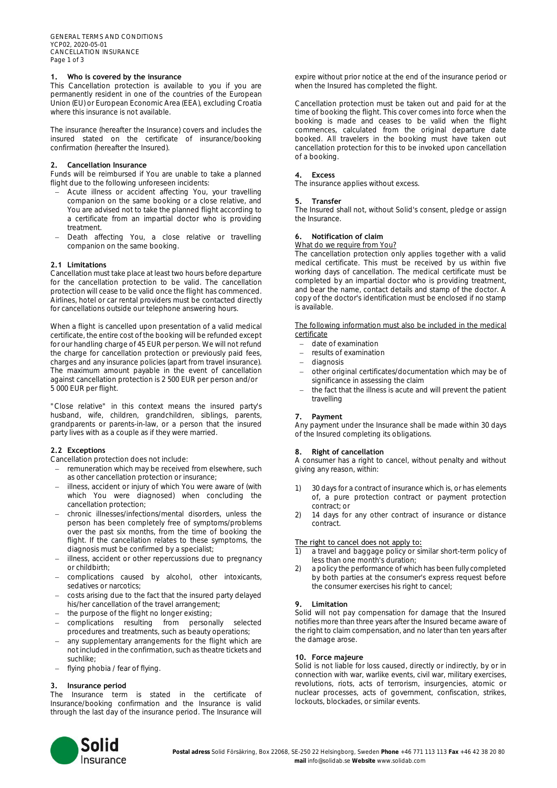# **1. Who is covered by the insurance**

This Cancellation protection is available to you if you are permanently resident in one of the countries of the European Union (EU) or European Economic Area (EEA), excluding Croatia where this insurance is not available.

The insurance (hereafter the Insurance) covers and includes the insured stated on the certificate of insurance/booking confirmation (hereafter the Insured).

## **2. Cancellation Insurance**

Funds will be reimbursed if You are unable to take a planned flight due to the following unforeseen incidents:

- − Acute illness or accident affecting You, your travelling companion on the same booking or a close relative, and You are advised not to take the planned flight according to a certificate from an impartial doctor who is providing treatment.
- Death affecting You, a close relative or travelling companion on the same booking.

## **2.1 Limitations**

Cancellation must take place at least two hours before departure for the cancellation protection to be valid. The cancellation protection will cease to be valid once the flight has commenced. Airlines, hotel or car rental providers must be contacted directly for cancellations outside our telephone answering hours.

When a flight is cancelled upon presentation of a valid medical certificate, the entire cost of the booking will be refunded except for our handling charge of 45 EUR per person. We will not refund the charge for cancellation protection or previously paid fees, charges and any insurance policies (apart from travel insurance). The maximum amount payable in the event of cancellation against cancellation protection is 2 500 EUR per person and/or 5 000 EUR per flight.

"Close relative" in this context means the insured party's husband, wife, children, grandchildren, siblings, parents, grandparents or parents-in-law, or a person that the insured party lives with as a couple as if they were married.

## **2.2 Exceptions**

Cancellation protection does not include:

- remuneration which may be received from elsewhere, such as other cancellation protection or insurance;
- illness, accident or injury of which You were aware of (with which You were diagnosed) when concluding the cancellation protection;
- − chronic illnesses/infections/mental disorders, unless the person has been completely free of symptoms/problems over the past six months, from the time of booking the flight. If the cancellation relates to these symptoms, the diagnosis must be confirmed by a specialist;
- − illness, accident or other repercussions due to pregnancy or childbirth;
- − complications caused by alcohol, other intoxicants, sedatives or narcotics;
- costs arising due to the fact that the insured party delayed his/her cancellation of the travel arrangement;
- − the purpose of the flight no longer existing;
- − complications resulting from personally selected procedures and treatments, such as beauty operations;
- − any supplementary arrangements for the flight which are not included in the confirmation, such as theatre tickets and suchlike;
- − flying phobia / fear of flying.

#### **3. Insurance period**

The Insurance term is stated in the certificate of Insurance/booking confirmation and the Insurance is valid through the last day of the insurance period. The Insurance will expire without prior notice at the end of the insurance period or when the Insured has completed the flight.

Cancellation protection must be taken out and paid for at the time of booking the flight. This cover comes into force when the booking is made and ceases to be valid when the flight commences, calculated from the original departure date booked. All travelers in the booking must have taken out cancellation protection for this to be invoked upon cancellation of a booking.

#### **4. Excess**

The insurance applies without excess.

#### **5. Transfer**

The Insured shall not, without Solid's consent, pledge or assign the Insurance.

## **6. Notification of claim**

#### What do we require from You?

The cancellation protection only applies together with a valid medical certificate. This must be received by us within five working days of cancellation. The medical certificate must be completed by an impartial doctor who is providing treatment, and bear the name, contact details and stamp of the doctor. A copy of the doctor's identification must be enclosed if no stamp is available.

The following information must also be included in the medical certificate

- − date of examination
- − results of examination
- − diagnosis
- − other original certificates/documentation which may be of significance in assessing the claim
- the fact that the illness is acute and will prevent the patient travelling

## **7. Payment**

Any payment under the Insurance shall be made within 30 days of the Insured completing its obligations.

#### **8. Right of cancellation**

A consumer has a right to cancel, without penalty and without giving any reason, within:

- 30 days for a contract of insurance which is, or has elements of, a pure protection contract or payment protection contract; or
- 2) 14 days for any other contract of insurance or distance contract.

#### The right to cancel does not apply to:

- a travel and baggage policy or similar short-term policy of less than one month's duration;
- 2) a policy the performance of which has been fully completed by both parties at the consumer's express request before the consumer exercises his right to cancel;

### **9. Limitation**

Solid will not pay compensation for damage that the Insured notifies more than three years after the Insured became aware of the right to claim compensation, and no later than ten years after the damage arose.

#### **10. Force majeure**

Solid is not liable for loss caused, directly or indirectly, by or in connection with war, warlike events, civil war, military exercises, revolutions, riots, acts of terrorism, insurgencies, atomic or nuclear processes, acts of government, confiscation, strikes, lockouts, blockades, or similar events.

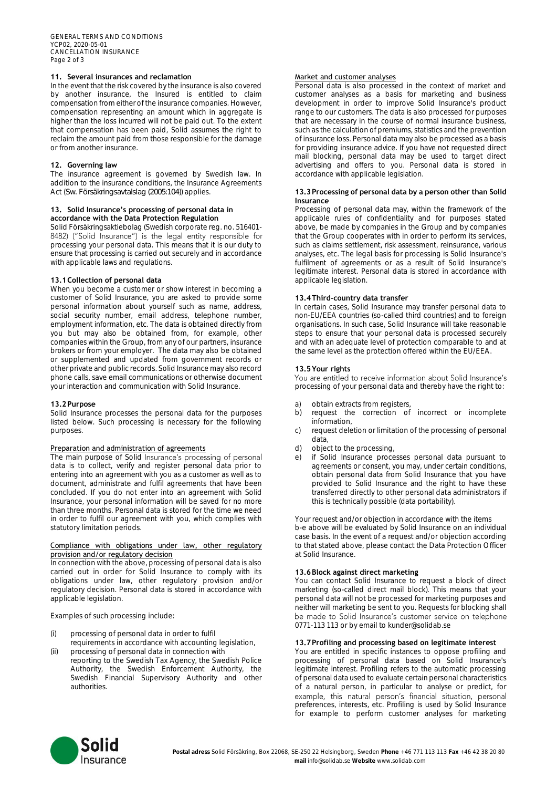# **11. Several insurances and reclamation**

In the event that the risk covered by the insurance is also covered by another insurance, the Insured is entitled to claim compensation from either of the insurance companies. However, compensation representing an amount which in aggregate is higher than the loss incurred will not be paid out. To the extent that compensation has been paid, Solid assumes the right to reclaim the amount paid from those responsible for the damage or from another insurance.

## **12. Governing law**

The insurance agreement is governed by Swedish law. In addition to the insurance conditions, the Insurance Agreements Act (*Sw. Försäkringsavtalslag (2005:104)*) applies.

## **13. Solid Insurance's processing of personal data in accordance with the Data Protection Regulation**

Solid Försäkringsaktiebolag (Swedish corporate reg. no. 516401-8482) ("Solid Insurance") is the legal entity responsible for processing your personal data. This means that it is our duty to ensure that processing is carried out securely and in accordance with applicable laws and regulations.

## **13.1Collection of personal data**

When you become a customer or show interest in becoming a customer of Solid Insurance, you are asked to provide some personal information about yourself such as name, address, social security number, email address, telephone number, employment information, etc. The data is obtained directly from you but may also be obtained from, for example, other companies within the Group, from any of our partners, insurance brokers or from your employer. The data may also be obtained or supplemented and updated from government records or other private and public records. Solid Insurance may also record phone calls, save email communications or otherwise document your interaction and communication with Solid Insurance.

#### **13.2Purpose**

Solid Insurance processes the personal data for the purposes listed below. Such processing is necessary for the following purposes.

#### Preparation and administration of agreements

The main purpose of Solid Insurance's processing of personal data is to collect, verify and register personal data prior to entering into an agreement with you as a customer as well as to document, administrate and fulfil agreements that have been concluded. If you do not enter into an agreement with Solid Insurance, your personal information will be saved for no more than three months. Personal data is stored for the time we need in order to fulfil our agreement with you, which complies with statutory limitation periods.

## Compliance with obligations under law, other regulatory provision and/or regulatory decision

In connection with the above, processing of personal data is also carried out in order for Solid Insurance to comply with its obligations under law, other regulatory provision and/or regulatory decision. Personal data is stored in accordance with applicable legislation.

Examples of such processing include:

- (i) processing of personal data in order to fulfil
- requirements in accordance with accounting legislation, (ii) processing of personal data in connection with
- reporting to the Swedish Tax Agency, the Swedish Police Authority, the Swedish Enforcement Authority, the Swedish Financial Supervisory Authority and other authorities.

#### Market and customer analyses

Personal data is also processed in the context of market and customer analyses as a basis for marketing and business development in order to improve Solid Insurance's product range to our customers. The data is also processed for purposes that are necessary in the course of normal insurance business, such as the calculation of premiums, statistics and the prevention of insurance loss. Personal data may also be processed as a basis for providing insurance advice. If you have not requested direct mail blocking, personal data may be used to target direct advertising and offers to you. Personal data is stored in accordance with applicable legislation.

## **13.3Processing of personal data by a person other than Solid Insurance**

Processing of personal data may, within the framework of the applicable rules of confidentiality and for purposes stated above, be made by companies in the Group and by companies that the Group cooperates with in order to perform its services, such as claims settlement, risk assessment, reinsurance, various analyses, etc. The legal basis for processing is Solid Insurance's fulfilment of agreements or as a result of Solid Insurance's legitimate interest. Personal data is stored in accordance with applicable legislation.

## **13.4Third-country data transfer**

In certain cases, Solid Insurance may transfer personal data to non-EU/EEA countries (so-called third countries) and to foreign organisations. In such case, Solid Insurance will take reasonable steps to ensure that your personal data is processed securely and with an adequate level of protection comparable to and at the same level as the protection offered within the EU/EEA.

## **13.5Your rights**

You are entitled to receive information about Solid Insurance's processing of your personal data and thereby have the right to:

- a) obtain extracts from registers,<br>b) request the correction of
- request the correction of incorrect or incomplete information,
- c) request deletion or limitation of the processing of personal data,
- d) object to the processing,<br>e) if Solid Insurance proce
- if Solid Insurance processes personal data pursuant to agreements or consent, you may, under certain conditions, obtain personal data from Solid Insurance that you have provided to Solid Insurance and the right to have these transferred directly to other personal data administrators if this is technically possible (data portability).

Your request and/or objection in accordance with the items b-e above will be evaluated by Solid Insurance on an individual case basis. In the event of a request and/or objection according to that stated above, please contact the Data Protection Officer at Solid Insurance.

#### **13.6Block against direct marketing**

You can contact Solid Insurance to request a block of direct marketing (so-called direct mail block). This means that your personal data will not be processed for marketing purposes and neither will marketing be sent to you. Requests for blocking shall be made to Solid Insurance's customer service on telephone 0771-113 113 or by email to kunder@solidab.se

#### **13.7Profiling and processing based on legitimate interest**

You are entitled in specific instances to oppose profiling and processing of personal data based on Solid Insurance's legitimate interest. Profiling refers to the automatic processing of personal data used to evaluate certain personal characteristics of a natural person, in particular to analyse or predict, for example, this natural person's financial situation, personal preferences, interests, etc. Profiling is used by Solid Insurance for example to perform customer analyses for marketing